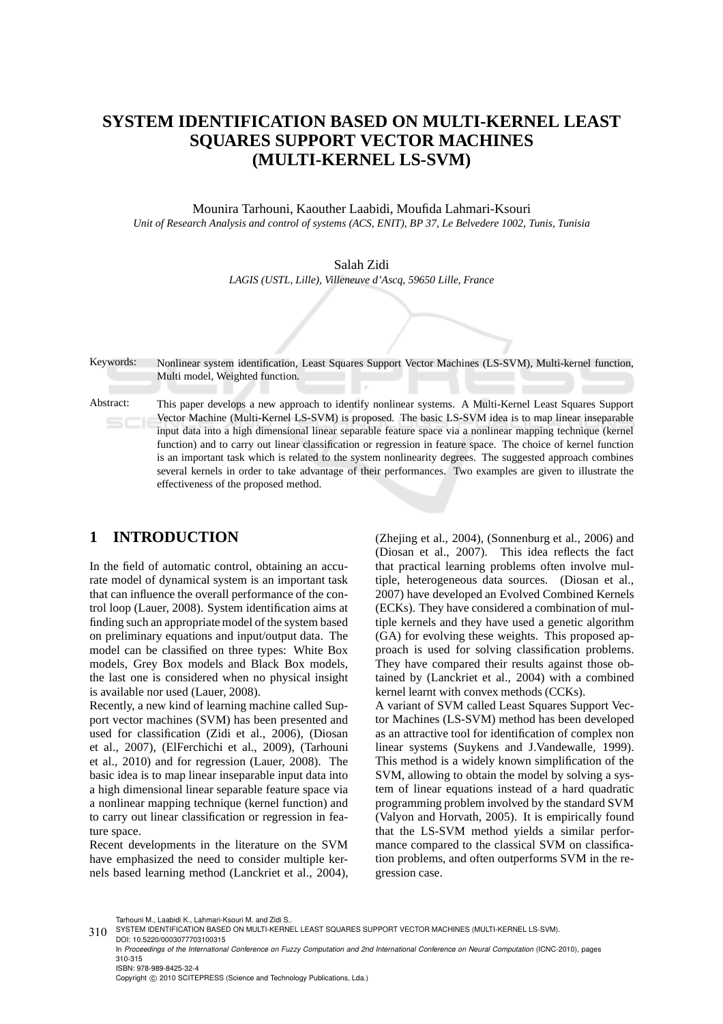# **SYSTEM IDENTIFICATION BASED ON MULTI-KERNEL LEAST SQUARES SUPPORT VECTOR MACHINES (MULTI-KERNEL LS-SVM)**

Mounira Tarhouni, Kaouther Laabidi, Moufida Lahmari-Ksouri *Unit of Research Analysis and control of systems (ACS, ENIT), BP 37, Le Belvedere 1002, Tunis, Tunisia*

> Salah Zidi *LAGIS (USTL, Lille), Villeneuve d'Ascq, 59650 Lille, France*

Keywords: Nonlinear system identification, Least Squares Support Vector Machines (LS-SVM), Multi-kernel function, Multi model, Weighted function. Abstract: This paper develops a new approach to identify nonlinear systems. A Multi-Kernel Least Squares Support Vector Machine (Multi-Kernel LS-SVM) is proposed. The basic LS-SVM idea is to map linear inseparable input data into a high dimensional linear separable feature space via a nonlinear mapping technique (kernel function) and to carry out linear classification or regression in feature space. The choice of kernel function is an important task which is related to the system nonlinearity degrees. The suggested approach combines several kernels in order to take advantage of their performances. Two examples are given to illustrate the effectiveness of the proposed method.

### **1 INTRODUCTION**

In the field of automatic control, obtaining an accurate model of dynamical system is an important task that can influence the overall performance of the control loop (Lauer, 2008). System identification aims at finding such an appropriate model of the system based on preliminary equations and input/output data. The model can be classified on three types: White Box models, Grey Box models and Black Box models, the last one is considered when no physical insight is available nor used (Lauer, 2008).

Recently, a new kind of learning machine called Support vector machines (SVM) has been presented and used for classification (Zidi et al., 2006), (Diosan et al., 2007), (ElFerchichi et al., 2009), (Tarhouni et al., 2010) and for regression (Lauer, 2008). The basic idea is to map linear inseparable input data into a high dimensional linear separable feature space via a nonlinear mapping technique (kernel function) and to carry out linear classification or regression in feature space.

Recent developments in the literature on the SVM have emphasized the need to consider multiple kernels based learning method (Lanckriet et al., 2004), (Zhejing et al., 2004), (Sonnenburg et al., 2006) and (Diosan et al., 2007). This idea reflects the fact that practical learning problems often involve multiple, heterogeneous data sources. (Diosan et al., 2007) have developed an Evolved Combined Kernels (ECKs). They have considered a combination of multiple kernels and they have used a genetic algorithm (GA) for evolving these weights. This proposed approach is used for solving classification problems. They have compared their results against those obtained by (Lanckriet et al., 2004) with a combined kernel learnt with convex methods (CCKs).

A variant of SVM called Least Squares Support Vector Machines (LS-SVM) method has been developed as an attractive tool for identification of complex non linear systems (Suykens and J.Vandewalle, 1999). This method is a widely known simplification of the SVM, allowing to obtain the model by solving a system of linear equations instead of a hard quadratic programming problem involved by the standard SVM (Valyon and Horvath, 2005). It is empirically found that the LS-SVM method yields a similar performance compared to the classical SVM on classification problems, and often outperforms SVM in the regression case.

Tarhouni M., Laabidi K., Lahmari-Ksouri M. and Zidi S.

Copyright © 2010 SCITEPRESS (Science and Technology Publications, Lda.)

<sup>310</sup> SYSTEM IDENTIFICATION BASED ON MULTI-KERNEL LEAST SQUARES SUPPORT VECTOR MACHINES (MULTI-KERNEL LS-SVM).

DOI: 10.5220/0003077703100315 In *Proceedings of the International Conference on Fuzzy Computation and 2nd International Conference on Neural Computation* (ICNC-2010), pages 310-315 ISBN: 978-989-8425-32-4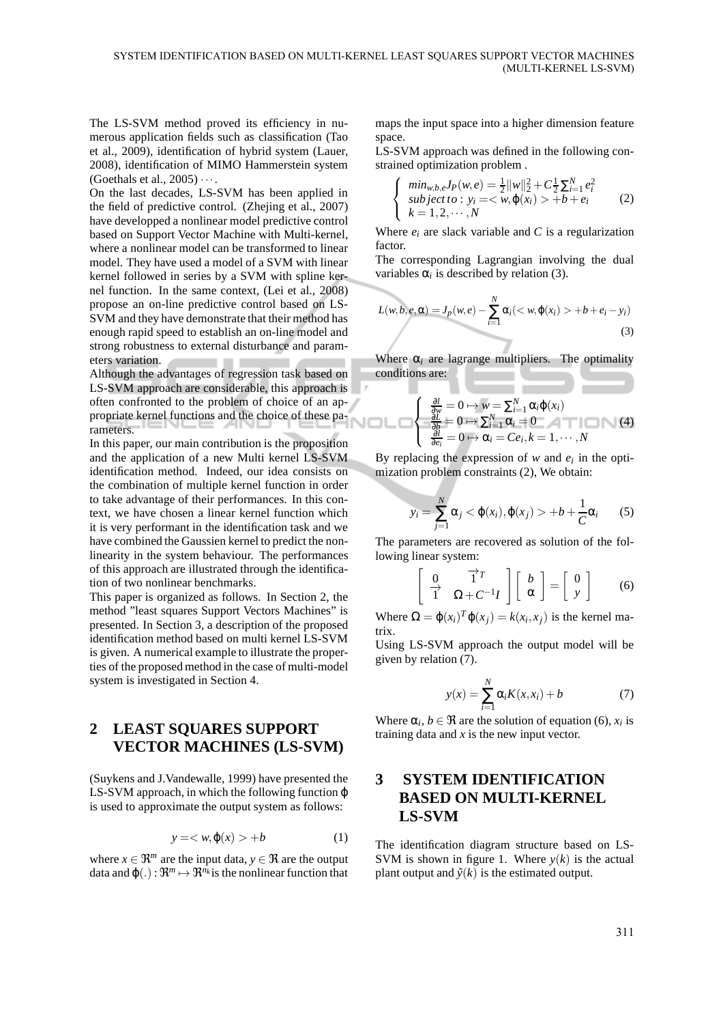The LS-SVM method proved its efficiency in numerous application fields such as classification (Tao et al., 2009), identification of hybrid system (Lauer, 2008), identification of MIMO Hammerstein system (Goethals et al.,  $2005$ ) $\cdots$ .

On the last decades, LS-SVM has been applied in the field of predictive control. (Zhejing et al., 2007) have developped a nonlinear model predictive control based on Support Vector Machine with Multi-kernel, where a nonlinear model can be transformed to linear model. They have used a model of a SVM with linear kernel followed in series by a SVM with spline kernel function. In the same context, (Lei et al., 2008) propose an on-line predictive control based on LS-SVM and they have demonstrate that their method has enough rapid speed to establish an on-line model and strong robustness to external disturbance and parameters variation.

Although the advantages of regression task based on LS-SVM approach are considerable, this approach is often confronted to the problem of choice of an appropriate kernel functions and the choice of these parameters.

In this paper, our main contribution is the proposition and the application of a new Multi kernel LS-SVM identification method. Indeed, our idea consists on the combination of multiple kernel function in order to take advantage of their performances. In this context, we have chosen a linear kernel function which it is very performant in the identification task and we have combined the Gaussien kernel to predict the nonlinearity in the system behaviour. The performances of this approach are illustrated through the identification of two nonlinear benchmarks.

This paper is organized as follows. In Section 2, the method "least squares Support Vectors Machines" is presented. In Section 3, a description of the proposed identification method based on multi kernel LS-SVM is given. A numerical example to illustrate the properties of the proposed method in the case of multi-model system is investigated in Section 4.

## **2 LEAST SQUARES SUPPORT VECTOR MACHINES (LS-SVM)**

(Suykens and J.Vandewalle, 1999) have presented the LS-SVM approach, in which the following function φ is used to approximate the output system as follows:

$$
y = \langle w, \varphi(x) \rangle + b \tag{1}
$$

where  $x \in \mathbb{R}^m$  are the input data,  $y \in \mathbb{R}$  are the output data and  $\varphi(.)$ :  $\mathfrak{R}^m \mapsto \mathfrak{R}^n$ *k* is the nonlinear function that maps the input space into a higher dimension feature space.

LS-SVM approach was defined in the following constrained optimization problem .

$$
\begin{cases}\n\min_{w,b,e} J_P(w,e) = \frac{1}{2} ||w||_2^2 + C \frac{1}{2} \sum_{i=1}^N e_i^2 \\
\text{subject to: } y_i = \langle w, \varphi(x_i) \rangle + b + e_i \\
k = 1, 2, \cdots, N\n\end{cases} \tag{2}
$$

Where  $e_i$  are slack variable and  $C$  is a regularization factor.

The corresponding Lagrangian involving the dual variables  $\alpha_i$  is described by relation (3).

$$
L(w, b, e, \alpha) = J_p(w, e) - \sum_{i=1}^{N} \alpha_i \left( \langle w, \varphi(x_i) \rangle + b + e_i - y_i \right)
$$
\n(3)

Where  $\alpha_i$  are lagrange multipliers. The optimality conditions are:

$$
\begin{cases}\n\frac{\partial l}{\partial w} = 0 \mapsto w = \sum_{i=1}^{N} \alpha_i \varphi(x_i) \\
\frac{\partial L}{\partial b} = 0 \mapsto \sum_{i=1}^{N} \alpha_i = 0 \\
\frac{\partial l}{\partial e_i} = 0 \mapsto \alpha_i = Ce_i, k = 1, \dots, N\n\end{cases} (4)
$$

By replacing the expression of  $w$  and  $e_i$  in the optimization problem constraints (2), We obtain:

$$
y_i = \sum_{j=1}^{N} \alpha_j < \varphi(x_i), \varphi(x_j) > +b + \frac{1}{C} \alpha_i \tag{5}
$$

The parameters are recovered as solution of the following linear system:

$$
\left[\begin{array}{cc} 0 & \overrightarrow{1}^T \\ \overrightarrow{1} & \Omega + C^{-1}I \end{array}\right] \left[\begin{array}{c} b \\ \alpha \end{array}\right] = \left[\begin{array}{c} 0 \\ y \end{array}\right] \tag{6}
$$

Where  $\Omega = \varphi(x_i)^T \varphi(x_j) = k(x_i, x_j)$  is the kernel matrix.

Using LS-SVM approach the output model will be given by relation (7).

$$
y(x) = \sum_{i=1}^{N} \alpha_i K(x, x_i) + b \tag{7}
$$

Where  $\alpha_i$ ,  $b \in \Re$  are the solution of equation (6),  $x_i$  is training data and *x* is the new input vector.

## **3 SYSTEM IDENTIFICATION BASED ON MULTI-KERNEL LS-SVM**

The identification diagram structure based on LS-SVM is shown in figure 1. Where  $y(k)$  is the actual plant output and  $\hat{y}(k)$  is the estimated output.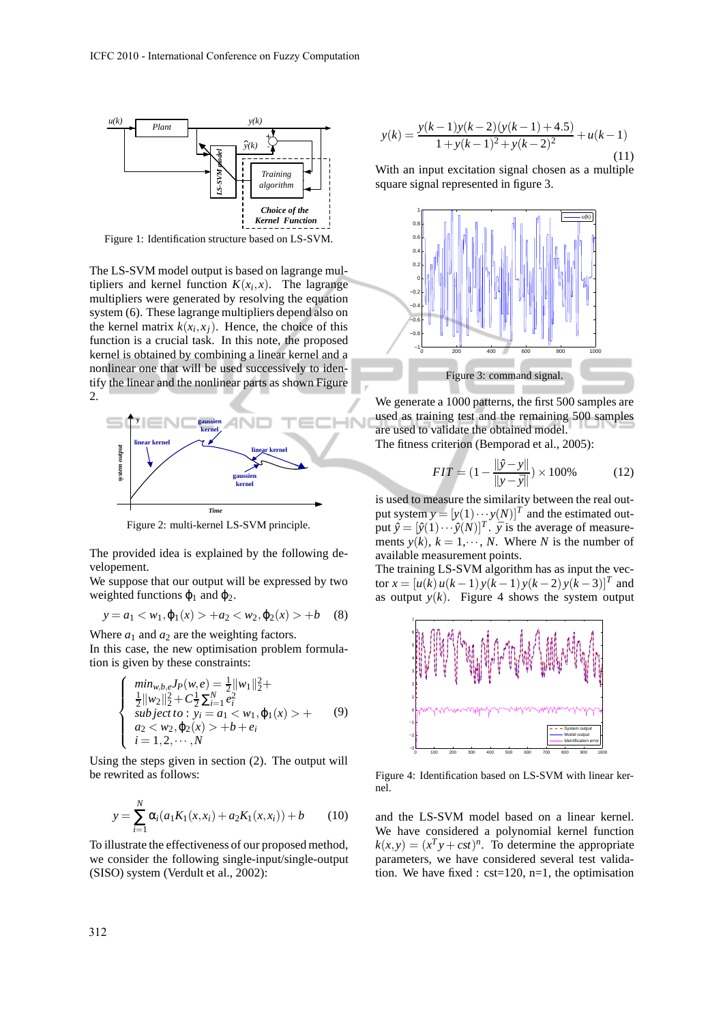

Figure 1: Identification structure based on LS-SVM.

The LS-SVM model output is based on lagrange multipliers and kernel function  $K(x_i, x)$ . The lagrange multipliers were generated by resolving the equation system (6). These lagrange multipliers depend also on the kernel matrix  $k(x_i, x_j)$ . Hence, the choice of this function is a crucial task. In this note, the proposed kernel is obtained by combining a linear kernel and a nonlinear one that will be used successively to identify the linear and the nonlinear parts as shown Figure 2.



Figure 2: multi-kernel LS-SVM principle.

The provided idea is explained by the following developement.

We suppose that our output will be expressed by two weighted functions  $\varphi_1$  and  $\varphi_2$ .

$$
y = a_1 < w_1, \varphi_1(x) > +a_2 < w_2, \varphi_2(x) > +b \quad (8)
$$

Where  $a_1$  and  $a_2$  are the weighting factors.

In this case, the new optimisation problem formulation is given by these constraints:

$$
\begin{cases}\n\min_{w,b,e} J_P(w,e) = \frac{1}{2} ||w_1||_2^2 + \frac{1}{2} ||w_2||_2^2 + C \frac{1}{2} \sum_{i=1}^N e_i^2 \\
\text{subject to: } y_i = a_1 < w_1, \varphi_1(x) > + \\
a_2 < w_2, \varphi_2(x) > + b + e_i \\
i = 1, 2, \cdots, N\n\end{cases} \tag{9}
$$

Using the steps given in section (2). The output will be rewrited as follows:

$$
y = \sum_{i=1}^{N} \alpha_i (a_1 K_1(x, x_i) + a_2 K_1(x, x_i)) + b \qquad (10)
$$

To illustrate the effectiveness of our proposed method, we consider the following single-input/single-output (SISO) system (Verdult et al., 2002):

$$
y(k) = \frac{y(k-1)y(k-2)(y(k-1)+4.5)}{1+y(k-1)^2 + y(k-2)^2} + u(k-1)
$$
\n(11)

With an input excitation signal chosen as a multiple square signal represented in figure 3.



We generate a 1000 patterns, the first 500 samples are used as training test and the remaining 500 samples are used to validate the obtained model.

The fitness criterion (Bemporad et al., 2005):

$$
FIT = (1 - \frac{\|\hat{y} - y\|}{\|y - \bar{y}\|}) \times 100\%
$$
 (12)

is used to measure the similarity between the real output system  $y = [y(1) \cdots y(N)]^T$  and the estimated output  $\hat{y} = [\hat{y}(1) \cdots \hat{y}(N)]^T$ .  $\bar{y}$  is the average of measurements  $y(k)$ ,  $k = 1, \dots, N$ . Where *N* is the number of available measurement points.

The training LS-SVM algorithm has as input the vec- $\tan x = [u(k) u(k-1) y(k-1) y(k-2) y(k-3)]^T$  and as output  $y(k)$ . Figure 4 shows the system output



Figure 4: Identification based on LS-SVM with linear kernel.

and the LS-SVM model based on a linear kernel. We have considered a polynomial kernel function  $k(x, y) = (x<sup>T</sup>y + cst)<sup>n</sup>$ . To determine the appropriate parameters, we have considered several test validation. We have fixed :  $cst=120$ ,  $n=1$ , the optimisation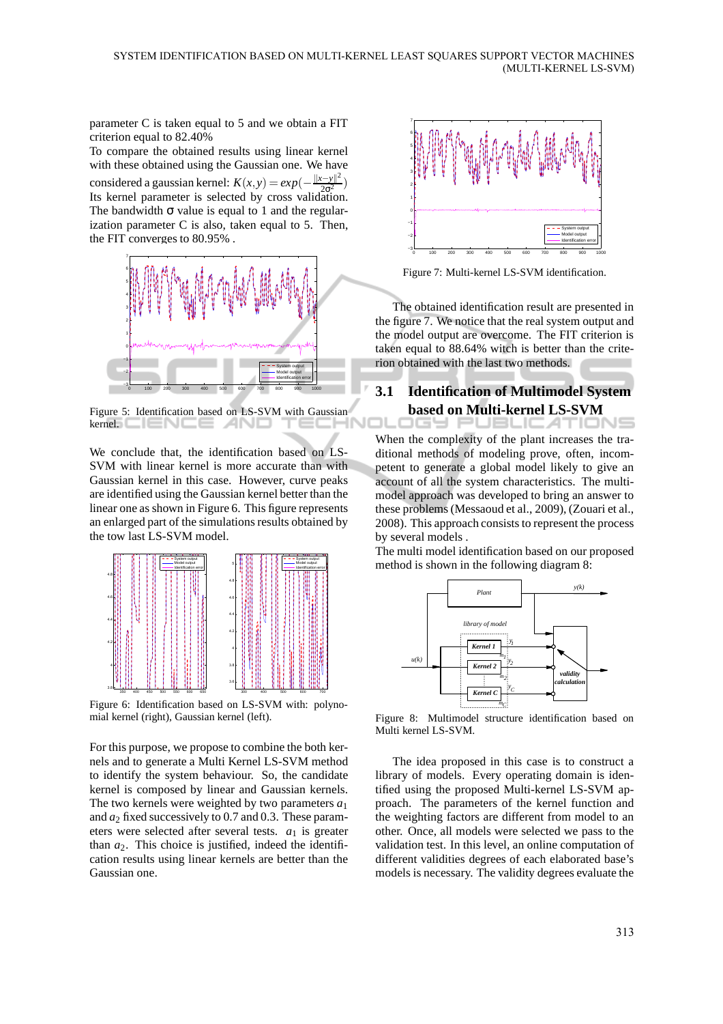parameter C is taken equal to 5 and we obtain a FIT criterion equal to 82.40%

To compare the obtained results using linear kernel with these obtained using the Gaussian one. We have considered a gaussian kernel:  $K(x,y) = exp(-\frac{||x-y||^2}{2\sigma^2})$  $\frac{(-y)}{2\sigma^2}$ ) Its kernel parameter is selected by cross validation. The bandwidth  $\sigma$  value is equal to 1 and the regularization parameter C is also, taken equal to 5. Then, the FIT converges to 80.95% .



Figure 5: Identification based on LS-SVM with Gaussian  $k$ erne $E \sqsubseteq E$   $\sqsubseteq$   $E \sqsubseteq E$   $\sqsubseteq$   $E \sqcap E$ 

We conclude that, the identification based on LS-SVM with linear kernel is more accurate than with Gaussian kernel in this case. However, curve peaks are identified using the Gaussian kernel better than the linear one as shown in Figure 6. This figure represents an enlarged part of the simulations results obtained by the tow last LS-SVM model.



Figure 6: Identification based on LS-SVM with: polynomial kernel (right), Gaussian kernel (left).

For this purpose, we propose to combine the both kernels and to generate a Multi Kernel LS-SVM method to identify the system behaviour. So, the candidate kernel is composed by linear and Gaussian kernels. The two kernels were weighted by two parameters  $a_1$ and *a*<sup>2</sup> fixed successively to 0.7 and 0.3. These parameters were selected after several tests. *a*<sup>1</sup> is greater than  $a_2$ . This choice is justified, indeed the identification results using linear kernels are better than the Gaussian one.



Figure 7: Multi-kernel LS-SVM identification.

The obtained identification result are presented in the figure 7. We notice that the real system output and the model output are overcome. The FIT criterion is taken equal to 88.64% witch is better than the criterion obtained with the last two methods.

### **3.1 Identification of Multimodel System based on Multi-kernel LS-SVM**

When the complexity of the plant increases the traditional methods of modeling prove, often, incompetent to generate a global model likely to give an account of all the system characteristics. The multimodel approach was developed to bring an answer to these problems (Messaoud et al., 2009), (Zouari et al., 2008). This approach consists to represent the process by several models .

The multi model identification based on our proposed method is shown in the following diagram 8:



Figure 8: Multimodel structure identification based on Multi kernel LS-SVM.

The idea proposed in this case is to construct a library of models. Every operating domain is identified using the proposed Multi-kernel LS-SVM approach. The parameters of the kernel function and the weighting factors are different from model to an other. Once, all models were selected we pass to the validation test. In this level, an online computation of different validities degrees of each elaborated base's models is necessary. The validity degrees evaluate the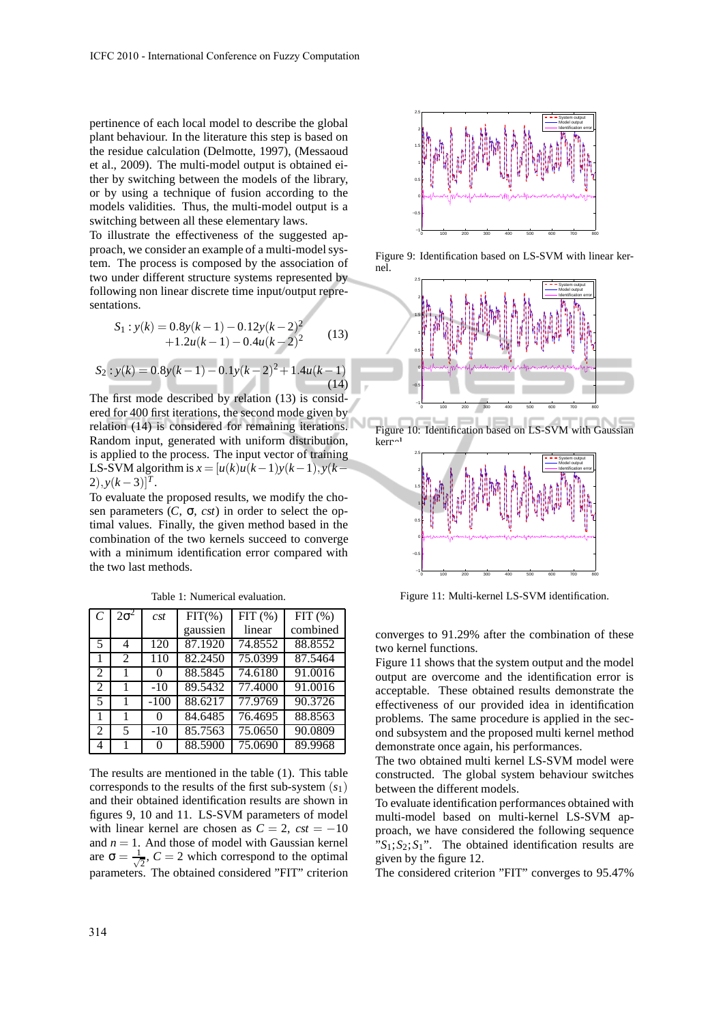pertinence of each local model to describe the global plant behaviour. In the literature this step is based on the residue calculation (Delmotte, 1997), (Messaoud et al., 2009). The multi-model output is obtained either by switching between the models of the library, or by using a technique of fusion according to the models validities. Thus, the multi-model output is a switching between all these elementary laws.

To illustrate the effectiveness of the suggested approach, we consider an example of a multi-model system. The process is composed by the association of two under different structure systems represented by following non linear discrete time input/output representations.

$$
S_1: y(k) = 0.8y(k-1) - 0.12y(k-2)^2 + 1.2u(k-1) - 0.4u(k-2)^2
$$
 (13)

$$
S_2: y(k) = 0.8y(k-1) - 0.1y(k-2)^2 + 1.4u(k-1)
$$
\n(14)

The first mode described by relation (13) is considered for 400 first iterations, the second mode given by relation (14) is considered for remaining iterations. Random input, generated with uniform distribution, is applied to the process. The input vector of training LS-SVM algorithm is  $x = [u(k)u(k-1)y(k-1), y(k-1)]$  $2)$ ,  $y(k-3)$ ]<sup>T</sup>.

To evaluate the proposed results, we modify the chosen parameters  $(C, \sigma, \text{cst})$  in order to select the optimal values. Finally, the given method based in the combination of the two kernels succeed to converge with a minimum identification error compared with the two last methods.

| $\mathcal{C}$  | $2\sigma^2$    | cst              | $FIT(\% )$ | $FIT$ $%$ | $\overline{FIT}$ (%) |
|----------------|----------------|------------------|------------|-----------|----------------------|
|                |                |                  | gaussien   | linear    | combined             |
| 5              | 4              | 120              | 87.1920    | 74.8552   | 88.8552              |
|                | $\mathfrak{D}$ | $\overline{1}10$ | 82.2450    | 75.0399   | 87.5464              |
| 2              |                | 0                | 88.5845    | 74.6180   | 91.0016              |
| 2              |                | $-10$            | 89.5432    | 77.4000   | 91.0016              |
| 5              | 1              | $-100$           | 88.6217    | 77.9769   | 90.3726              |
|                | 1              | $\theta$         | 84.6485    | 76.4695   | 88.8563              |
| $\mathfrak{D}$ | 5              | $-10$            | 85.7563    | 75.0650   | 90.0809              |
| 4              |                | $\Omega$         | 88.5900    | 75.0690   | 89.9968              |

Table 1: Numerical evaluation.

The results are mentioned in the table (1). This table corresponds to the results of the first sub-system (*s*1) and their obtained identification results are shown in figures 9, 10 and 11. LS-SVM parameters of model with linear kernel are chosen as  $C = 2$ ,  $cst = -10$ and  $n = 1$ . And those of model with Gaussian kernel are  $\sigma = \frac{1}{\sqrt{2}}$  $\frac{1}{2}$ ,  $C = 2$  which correspond to the optimal parameters. The obtained considered "FIT" criterion



Figure 9: Identification based on LS-SVM with linear kernel.





Figure 11: Multi-kernel LS-SVM identification.

converges to 91.29% after the combination of these two kernel functions.

Figure 11 shows that the system output and the model output are overcome and the identification error is acceptable. These obtained results demonstrate the effectiveness of our provided idea in identification problems. The same procedure is applied in the second subsystem and the proposed multi kernel method demonstrate once again, his performances.

The two obtained multi kernel LS-SVM model were constructed. The global system behaviour switches between the different models.

To evaluate identification performances obtained with multi-model based on multi-kernel LS-SVM approach, we have considered the following sequence  $S_1$ ;  $S_2$ ;  $S_1$ ". The obtained identification results are given by the figure 12.

The considered criterion "FIT" converges to 95.47%